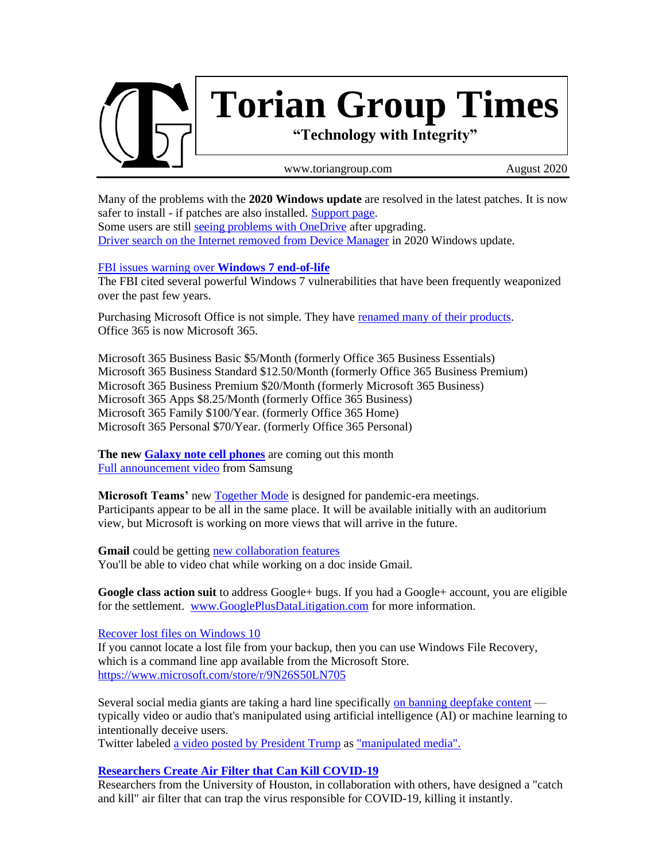

Many of the problems with the **2020 Windows update** are resolved in the latest patches. It is now safer to install - if patches are also installed. [Support page.](https://support.microsoft.com/en-us/help/4568831) Some users are still [seeing problems with OneDrive](https://borncity.com/win/2020/08/04/windows-10-2004-onedrive-issue-no-access-after-upgrade/) after upgrading. [Driver search on the Internet removed](https://borncity.com/win/2020/08/01/windows-10-v2004-treibersuche-im-internet-aus-gerte-manager-entfernt/) from Device Manager in 2020 Windows update.

### [FBI issues warning over](https://www.zdnet.com/article/fbi-issues-warning-over-windows-7-end-of-life/) **Windows 7 end-of-life**

The FBI cited several powerful Windows 7 vulnerabilities that have been frequently weaponized over the past few years.

Purchasing Microsoft Office is not simple. They have [renamed many of their products.](https://www.microsoft.com/en-us/microsoft-365/explore-microsoft-365-for-home?rtc=1) Office 365 is now Microsoft 365.

Microsoft 365 Business Basic \$5/Month (formerly Office 365 Business Essentials) Microsoft 365 Business Standard \$12.50/Month (formerly Office 365 Business Premium) Microsoft 365 Business Premium \$20/Month (formerly Microsoft 365 Business) Microsoft 365 Apps \$8.25/Month (formerly Office 365 Business) Microsoft 365 Family \$100/Year. (formerly Office 365 Home) Microsoft 365 Personal \$70/Year. (formerly Office 365 Personal)

**The new [Galaxy note cell phones](https://news.samsung.com/us/samsung-unveils-five-devices-unpacked-galaxy-ecosystem-galaxy-note20-ultra-galaxy-z-fold2/)** are coming out this month [Full announcement video](https://www.youtube.com/watch?v=CmS5rlX9cDA) from Samsung

**Microsoft Teams'** new **Together Mode** is designed for pandemic-era meetings. Participants appear to be all in the same place. It will be available initially with an auditorium view, but Microsoft is working on more views that will arrive in the future.

**Gmail** could be gettin[g new collaboration features](https://www.engadget.com/gmail-google-chat-docs-meet-redesign-135910798.html?guccounter=1) You'll be able to video chat while working on a doc inside Gmail.

**Google class action suit** to address Google+ bugs. If you had a Google+ account, you are eligible for the settlement. [www.GooglePlusDataLitigation.com](http://www.google.com/appserve/mkt/p/AD-FnExh8Vo85wPJeHIU6VU1cEvFIysg6pffQQFNEqZaRilnsQt-sotAvpBgJ9WX5eLAVSt3msT-s3ZxjcJ-AXTrLO5wo2JTJDK3FuwJpAY) for more information.

[Recover lost files on Windows 10](https://support.microsoft.com/en-us/help/4538642/windows-10-restore-lost-files)

If you cannot locate a lost file from your backup, then you can use Windows File Recovery, which is a command line app available from the Microsoft Store. <https://www.microsoft.com/store/r/9N26S50LN705>

Several social media giants are taking a hard line specifically [on banning deepfake content](https://www.axios.com/deepfakes-big-tech-policy-facebook-reddit-tiktok-ca7a99b8-e571-4b0b-933a-27e4b2c0b0f7.html) typically video or audio that's manipulated using artificial intelligence (AI) or machine learning to intentionally deceive users.

Twitter labeled [a video posted by President Trump](https://twitter.com/realDonaldTrump/status/1273770669214490626) as ["manipulated media".](https://www.axios.com/technology/misinformation) 

### **[Researchers Create Air Filter that Can Kill COVID-19](https://www.laboratoryequipment.com/566027-Researchers-Create-Air-Filter-that-Can-Kill-COVID-19/)**

Researchers from the University of Houston, in collaboration with others, have designed a "catch and kill" air filter that can trap the virus responsible for COVID-19, killing it instantly.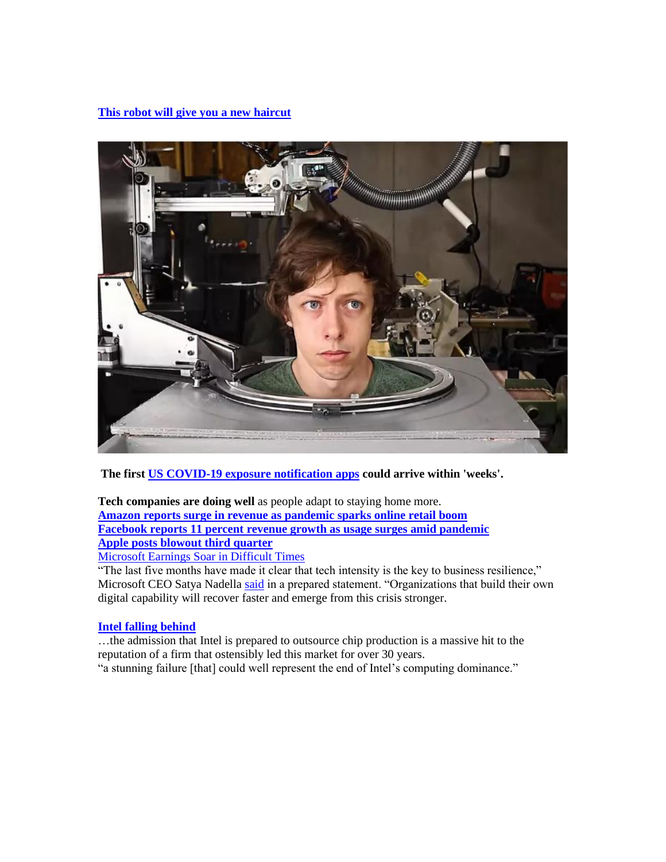**[This robot will give you a new haircut](https://www.cnet.com/news/this-robot-will-give-you-a-new-haircut-if-you-dare/)**



**The first US [COVID-19 exposure notification apps](https://www.engadget.com/android-ios-covid-19-digital-contact-tracing-ens-120539913.html) could arrive within 'weeks'.**

**Tech companies are doing well** as people adapt to staying home more. **[Amazon reports surge in revenue as pandemic sparks online retail boom](https://thehill.com/policy/technology/509872-amazon-announces-surge-in-revenue-as-pandemic-fuels-sales) [Facebook reports 11 percent revenue growth as usage surges amid pandemic](https://thehill.com/policy/technology/509865-facebook-reports-11-percent-revenue-growth-as-usage-surges-amid-pandemic) [Apple posts blowout third quarter](https://thehill.com/policy/technology/509877-apple-posts-blowout-third-quarter)**

[Microsoft Earnings Soar in Difficult Times](https://www.thurrott.com/microsoft/238121/microsoft-earnings-soar-in-difficult-times)

"The last five months have made it clear that tech intensity is the key to business resilience," Microsoft CEO Satya Nadella [said](https://www.microsoft.com/en-us/Investor/earnings/FY-2020-Q4/press-release-webcast) in a prepared statement. "Organizations that build their own digital capability will recover faster and emerge from this crisis stronger.

### **[Intel falling behind](https://www.thurrott.com/hardware/238314/the-end-of-an-era-at-intel?utm_source=rss&utm_medium=rss&utm_campaign=the-end-of-an-era-at-intel)**

…the admission that Intel is prepared to outsource chip production is a massive hit to the reputation of a firm that ostensibly led this market for over 30 years. "a stunning failure [that] could well represent the end of Intel's computing dominance."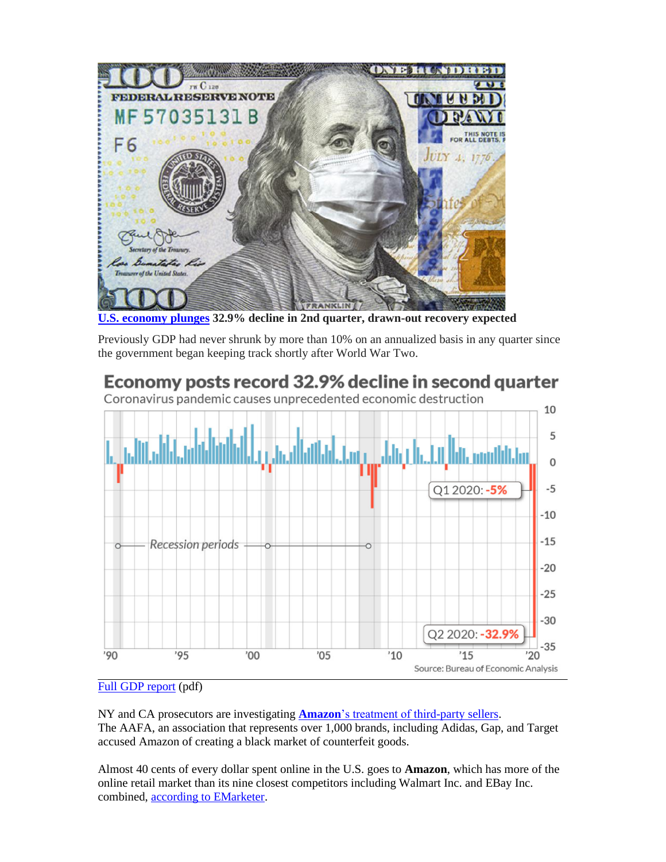

**[U.S. economy plunges](https://www.marketwatch.com/story/economy-suffers-titanic-329-plunge-in-2nd-quarter-gdp-shows-and-points-to-drawn-out-recovery-2020-07-30) 32.9% decline in 2nd quarter, drawn-out recovery expected**

Previously GDP had never shrunk by more than 10% on an annualized basis in any quarter since the government began keeping track shortly after World War Two.

# Economy posts record 32.9% decline in second quarter





### [Full GDP report](https://www.bea.gov/sites/default/files/2020-07/gdp2q20_adv.pdf) (pdf)

NY and CA prosecutors are investigating **Amazon**['s treatment of third-party sellers.](https://www.theverge.com/2020/8/3/21352990/new-york-california-ftc-amazon-investigation-marketplace) The AAFA, an association that represents over 1,000 brands, including Adidas, Gap, and Target accused Amazon of creating a black market of counterfeit goods.

Almost 40 cents of every dollar spent online in the U.S. goes to **Amazon**, which has more of the online retail market than its nine closest competitors including Walmart Inc. and EBay Inc. combined, [according to EMarketer.](https://www.vox.com/2017/10/24/16534100/amazon-market-share-ebay-walmart-apple-ecommerce-sales-2017)